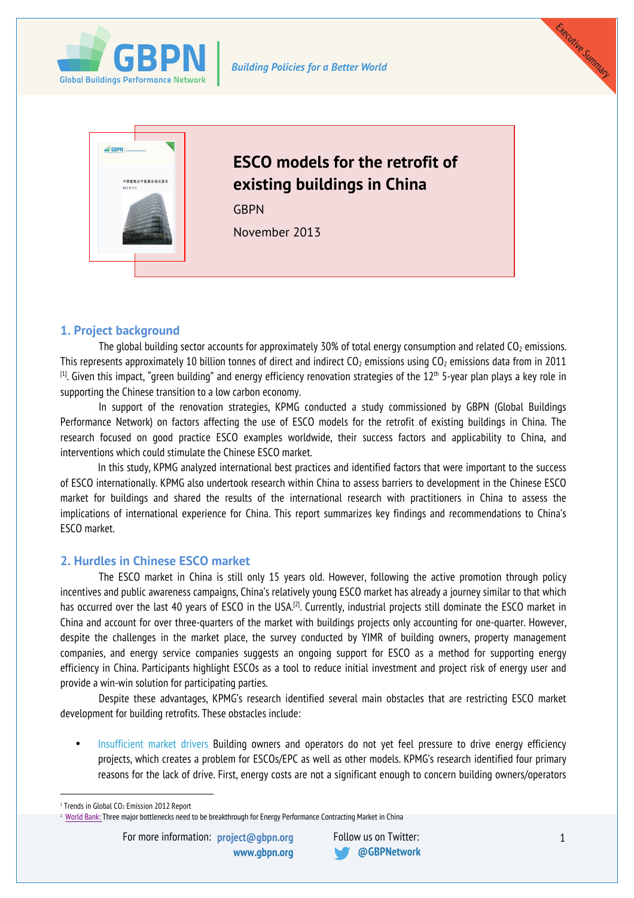





# **1. Project background**

The global building sector accounts for approximately 30% of total energy consumption and related  $CO<sub>2</sub>$  emissions. This represents approximately 10 billion tonnes of direct and indirect  $CO<sub>2</sub>$  emissions using  $CO<sub>2</sub>$  emissions data from in 2011  $^{[1]}$ . Given this impact, "green building" and energy efficiency renovation strategies of the  $12^{\rm th}$  5-year plan plays a key role in supporting the Chinese transition to a low carbon economy.

In support of the renovation strategies, KPMG conducted a study commissioned by GBPN (Global Buildings Performance Network) on factors affecting the use of ESCO models for the retrofit of existing buildings in China. The research focused on good practice ESCO examples worldwide, their success factors and applicability to China, and interventions which could stimulate the Chinese ESCO market.

In this study, KPMG analyzed international best practices and identified factors that were important to the success of ESCO internationally. KPMG also undertook research within China to assess barriers to development in the Chinese ESCO market for buildings and shared the results of the international research with practitioners in China to assess the implications of international experience for China. This report summarizes key findings and recommendations to China's ESCO market.

## **2. Hurdles in Chinese ESCO market**

The ESCO market in China is still only 15 years old. However, following the active promotion through policy incentives and public awareness campaigns, China's relatively young ESCO market has already a journey similar to that which has occurred over the last 40 years of ESCO in the USA.<sup>[2]</sup>. Currently, industrial projects still dominate the ESCO market in China and account for over three-quarters of the market with buildings projects only accounting for one-quarter. However, despite the challenges in the market place, the survey conducted by YIMR of building owners, property management companies, and energy service companies suggests an ongoing support for ESCO as a method for supporting energy efficiency in China. Participants highlight ESCOs as a tool to reduce initial investment and project risk of energy user and provide a win-win solution for participating parties.

Despite these advantages, KPMG's research identified several main obstacles that are restricting ESCO market development for building retrofits. These obstacles include:

• Insufficient market drivers Building owners and operators do not yet feel pressure to drive energy efficiency projects, which creates a problem for ESCOs/EPC as well as other models. KPMG's research identified four primary reasons for the lack of drive. First, energy costs are not a significant enough to concern building owners/operators

<sup>&</sup>lt;sup>1</sup> Trends in Global CO<sub>2</sub> Emission 2012 Report

<sup>&</sup>lt;sup>2</sup> World <u>Bank: </u>Three major bottlenecks need to be breakthrough for Energy Performance Contracting Market in China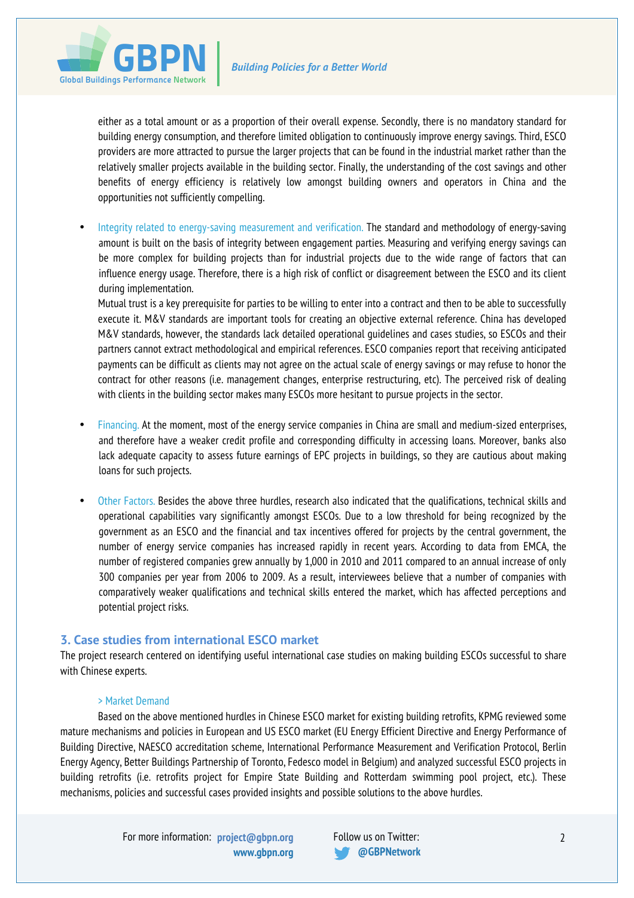

either as a total amount or as a proportion of their overall expense. Secondly, there is no mandatory standard for building energy consumption, and therefore limited obligation to continuously improve energy savings. Third, ESCO providers are more attracted to pursue the larger projects that can be found in the industrial market rather than the relatively smaller projects available in the building sector. Finally, the understanding of the cost savings and other benefits of energy efficiency is relatively low amongst building owners and operators in China and the opportunities not sufficiently compelling.

• Integrity related to energy-saving measurement and verification. The standard and methodology of energy-saving amount is built on the basis of integrity between engagement parties. Measuring and verifying energy savings can be more complex for building projects than for industrial projects due to the wide range of factors that can influence energy usage. Therefore, there is a high risk of conflict or disagreement between the ESCO and its client during implementation.

Mutual trust is a key prerequisite for parties to be willing to enter into a contract and then to be able to successfully execute it. M&V standards are important tools for creating an objective external reference. China has developed M&V standards, however, the standards lack detailed operational guidelines and cases studies, so ESCOs and their partners cannot extract methodological and empirical references. ESCO companies report that receiving anticipated payments can be difficult as clients may not agree on the actual scale of energy savings or may refuse to honor the contract for other reasons (i.e. management changes, enterprise restructuring, etc). The perceived risk of dealing with clients in the building sector makes many ESCOs more hesitant to pursue projects in the sector.

- Financing. At the moment, most of the energy service companies in China are small and medium-sized enterprises, and therefore have a weaker credit profile and corresponding difficulty in accessing loans. Moreover, banks also lack adequate capacity to assess future earnings of EPC projects in buildings, so they are cautious about making loans for such projects.
- Other Factors. Besides the above three hurdles, research also indicated that the qualifications, technical skills and operational capabilities vary significantly amongst ESCOs. Due to a low threshold for being recognized by the government as an ESCO and the financial and tax incentives offered for projects by the central government, the number of energy service companies has increased rapidly in recent years. According to data from EMCA, the number of registered companies grew annually by 1,000 in 2010 and 2011 compared to an annual increase of only 300 companies per year from 2006 to 2009. As a result, interviewees believe that a number of companies with comparatively weaker qualifications and technical skills entered the market, which has affected perceptions and potential project risks.

## **3. Case studies from international ESCO market**

The project research centered on identifying useful international case studies on making building ESCOs successful to share with Chinese experts.

#### > Market Demand

Based on the above mentioned hurdles in Chinese ESCO market for existing building retrofits, KPMG reviewed some mature mechanisms and policies in European and US ESCO market (EU Energy Efficient Directive and Energy Performance of Building Directive, NAESCO accreditation scheme, International Performance Measurement and Verification Protocol, Berlin Energy Agency, Better Buildings Partnership of Toronto, Fedesco model in Belgium) and analyzed successful ESCO projects in building retrofits (i.e. retrofits project for Empire State Building and Rotterdam swimming pool project, etc.). These mechanisms, policies and successful cases provided insights and possible solutions to the above hurdles.

For more information: <mark>project@gbpn.org</mark> Follow us on Twitter:

**www.gbpn.org @GBPNetwork**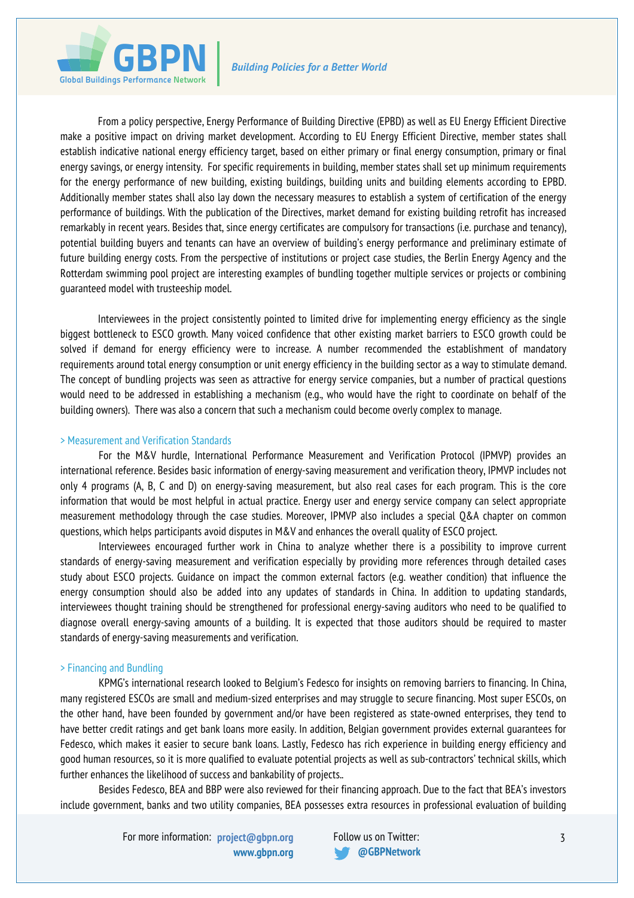

From a policy perspective, Energy Performance of Building Directive (EPBD) as well as EU Energy Efficient Directive make a positive impact on driving market development. According to EU Energy Efficient Directive, member states shall establish indicative national energy efficiency target, based on either primary or final energy consumption, primary or final energy savings, or energy intensity. For specific requirements in building, member states shall set up minimum requirements for the energy performance of new building, existing buildings, building units and building elements according to EPBD. Additionally member states shall also lay down the necessary measures to establish a system of certification of the energy performance of buildings. With the publication of the Directives, market demand for existing building retrofit has increased remarkably in recent years. Besides that, since energy certificates are compulsory for transactions (i.e. purchase and tenancy), potential building buyers and tenants can have an overview of building's energy performance and preliminary estimate of future building energy costs. From the perspective of institutions or project case studies, the Berlin Energy Agency and the Rotterdam swimming pool project are interesting examples of bundling together multiple services or projects or combining guaranteed model with trusteeship model.

Interviewees in the project consistently pointed to limited drive for implementing energy efficiency as the single biggest bottleneck to ESCO growth. Many voiced confidence that other existing market barriers to ESCO growth could be solved if demand for energy efficiency were to increase. A number recommended the establishment of mandatory requirements around total energy consumption or unit energy efficiency in the building sector as a way to stimulate demand. The concept of bundling projects was seen as attractive for energy service companies, but a number of practical questions would need to be addressed in establishing a mechanism (e.g., who would have the right to coordinate on behalf of the building owners). There was also a concern that such a mechanism could become overly complex to manage.

#### > Measurement and Verification Standards

For the M&V hurdle, International Performance Measurement and Verification Protocol (IPMVP) provides an international reference. Besides basic information of energy-saving measurement and verification theory, IPMVP includes not only 4 programs (A, B, C and D) on energy-saving measurement, but also real cases for each program. This is the core information that would be most helpful in actual practice. Energy user and energy service company can select appropriate measurement methodology through the case studies. Moreover, IPMVP also includes a special Q&A chapter on common questions, which helps participants avoid disputes in M&V and enhances the overall quality of ESCO project.

Interviewees encouraged further work in China to analyze whether there is a possibility to improve current standards of energy-saving measurement and verification especially by providing more references through detailed cases study about ESCO projects. Guidance on impact the common external factors (e.g. weather condition) that influence the energy consumption should also be added into any updates of standards in China. In addition to updating standards, interviewees thought training should be strengthened for professional energy-saving auditors who need to be qualified to diagnose overall energy-saving amounts of a building. It is expected that those auditors should be required to master standards of energy-saving measurements and verification.

## > Financing and Bundling

KPMG's international research looked to Belgium's Fedesco for insights on removing barriers to financing. In China, many registered ESCOs are small and medium-sized enterprises and may struggle to secure financing. Most super ESCOs, on the other hand, have been founded by government and/or have been registered as state-owned enterprises, they tend to have better credit ratings and get bank loans more easily. In addition, Belgian government provides external guarantees for Fedesco, which makes it easier to secure bank loans. Lastly, Fedesco has rich experience in building energy efficiency and good human resources, so it is more qualified to evaluate potential projects as well as sub-contractors' technical skills, which further enhances the likelihood of success and bankability of projects..

Besides Fedesco, BEA and BBP were also reviewed for their financing approach. Due to the fact that BEA's investors include government, banks and two utility companies, BEA possesses extra resources in professional evaluation of building

For more information: <mark>project@gbpn.org</mark> Follow us on Twitter:

**www.gbpn.org @GBPNetwork**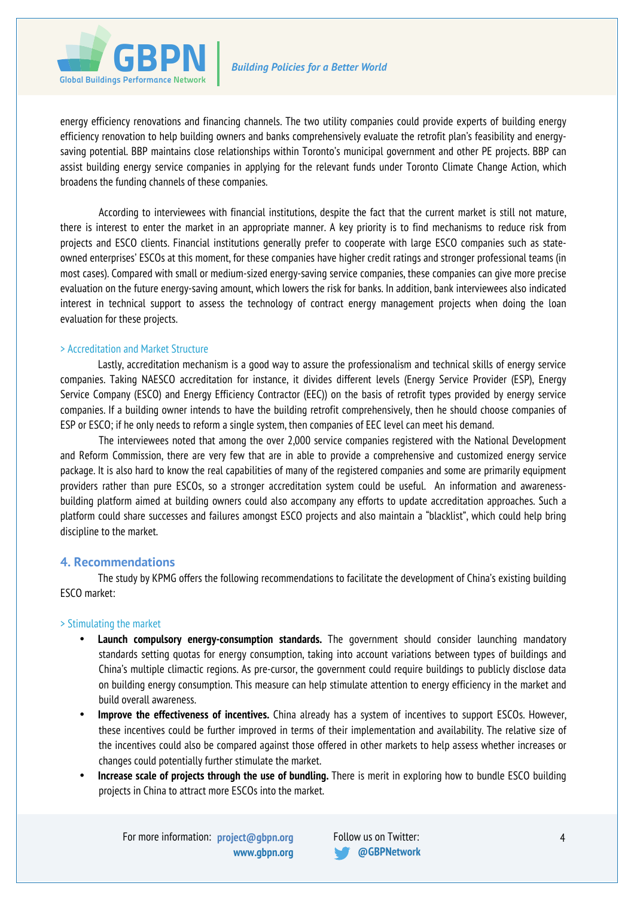

energy efficiency renovations and financing channels. The two utility companies could provide experts of building energy efficiency renovation to help building owners and banks comprehensively evaluate the retrofit plan's feasibility and energysaving potential. BBP maintains close relationships within Toronto's municipal government and other PE projects. BBP can assist building energy service companies in applying for the relevant funds under Toronto Climate Change Action, which broadens the funding channels of these companies.

According to interviewees with financial institutions, despite the fact that the current market is still not mature, there is interest to enter the market in an appropriate manner. A key priority is to find mechanisms to reduce risk from projects and ESCO clients. Financial institutions generally prefer to cooperate with large ESCO companies such as stateowned enterprises' ESCOs at this moment, for these companies have higher credit ratings and stronger professional teams (in most cases). Compared with small or medium-sized energy-saving service companies, these companies can give more precise evaluation on the future energy-saving amount, which lowers the risk for banks. In addition, bank interviewees also indicated interest in technical support to assess the technology of contract energy management projects when doing the loan evaluation for these projects.

### > Accreditation and Market Structure

Lastly, accreditation mechanism is a good way to assure the professionalism and technical skills of energy service companies. Taking NAESCO accreditation for instance, it divides different levels (Energy Service Provider (ESP), Energy Service Company (ESCO) and Energy Efficiency Contractor (EEC)) on the basis of retrofit types provided by energy service companies. If a building owner intends to have the building retrofit comprehensively, then he should choose companies of ESP or ESCO; if he only needs to reform a single system, then companies of EEC level can meet his demand.

The interviewees noted that among the over 2,000 service companies registered with the National Development and Reform Commission, there are very few that are in able to provide a comprehensive and customized energy service package. It is also hard to know the real capabilities of many of the registered companies and some are primarily equipment providers rather than pure ESCOs, so a stronger accreditation system could be useful. An information and awarenessbuilding platform aimed at building owners could also accompany any efforts to update accreditation approaches. Such a platform could share successes and failures amongst ESCO projects and also maintain a "blacklist", which could help bring discipline to the market.

## **4. Recommendations**

The study by KPMG offers the following recommendations to facilitate the development of China's existing building ESCO market:

#### > Stimulating the market

- **Launch compulsory energy-consumption standards.** The government should consider launching mandatory standards setting quotas for energy consumption, taking into account variations between types of buildings and China's multiple climactic regions. As pre-cursor, the government could require buildings to publicly disclose data on building energy consumption. This measure can help stimulate attention to energy efficiency in the market and build overall awareness.
- **Improve the effectiveness of incentives.** China already has a system of incentives to support ESCOs. However, these incentives could be further improved in terms of their implementation and availability. The relative size of the incentives could also be compared against those offered in other markets to help assess whether increases or changes could potentially further stimulate the market.
- **Increase scale of projects through the use of bundling.** There is merit in exploring how to bundle ESCO building projects in China to attract more ESCOs into the market.

**www.gbpn.org @GBPNetwork**